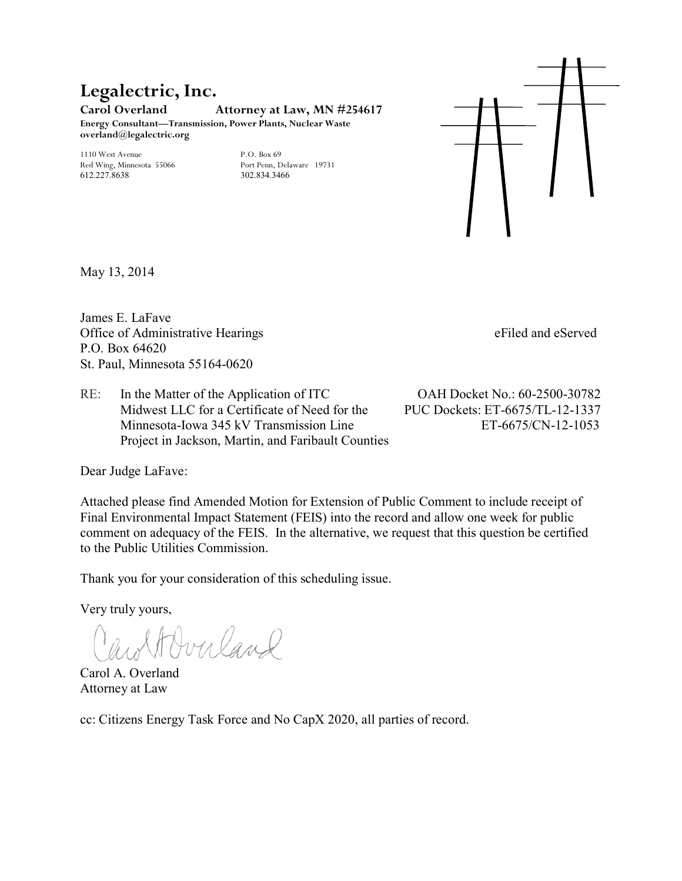### **Legalectric, Inc. Carol Overland Attorney at Law, MN #254617 Energy Consultant—Transmission, Power Plants, Nuclear Waste**

**overland@legalectric.org** 

1110 West Avenue P.O. Box 69<br>
Red Wing, Minnesota 55066 Port Penn, Delaware 19731 Red Wing, Minnesota 55066 612.227.8638 302.834.3466



May 13, 2014

James E. LaFave Office of Administrative Hearings eFiled and eServed P.O. Box 64620 St. Paul, Minnesota 55164-0620

RE: In the Matter of the Application of ITC OAH Docket No.: 60-2500-30782 Midwest LLC for a Certificate of Need for the PUC Dockets: ET-6675/TL-12-1337 Minnesota-Iowa 345 kV Transmission Line ET-6675/CN-12-1053 Project in Jackson, Martin, and Faribault Counties

Dear Judge LaFave:

Attached please find Amended Motion for Extension of Public Comment to include receipt of Final Environmental Impact Statement (FEIS) into the record and allow one week for public comment on adequacy of the FEIS. In the alternative, we request that this question be certified to the Public Utilities Commission.

Thank you for your consideration of this scheduling issue.

Very truly yours,

Horn land

Carol A. Overland Attorney at Law

cc: Citizens Energy Task Force and No CapX 2020, all parties of record.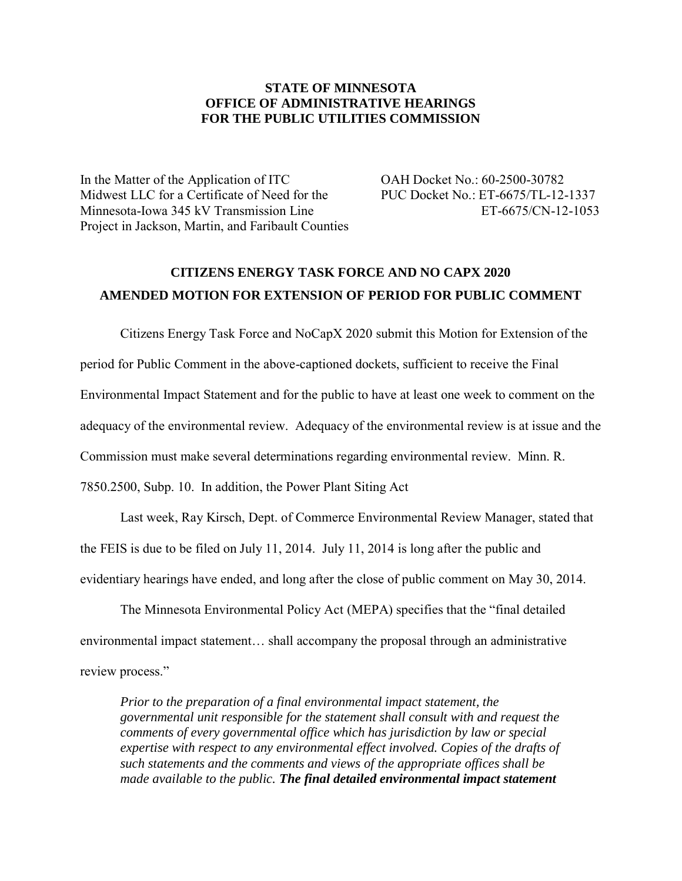#### **STATE OF MINNESOTA OFFICE OF ADMINISTRATIVE HEARINGS FOR THE PUBLIC UTILITIES COMMISSION**

In the Matter of the Application of ITC OAH Docket No.: 60-2500-30782 Midwest LLC for a Certificate of Need for the PUC Docket No.: ET-6675/TL-12-1337 Minnesota-Iowa 345 kV Transmission Line ET-6675/CN-12-1053 Project in Jackson, Martin, and Faribault Counties

# **CITIZENS ENERGY TASK FORCE AND NO CAPX 2020 AMENDED MOTION FOR EXTENSION OF PERIOD FOR PUBLIC COMMENT**

Citizens Energy Task Force and NoCapX 2020 submit this Motion for Extension of the period for Public Comment in the above-captioned dockets, sufficient to receive the Final Environmental Impact Statement and for the public to have at least one week to comment on the adequacy of the environmental review. Adequacy of the environmental review is at issue and the Commission must make several determinations regarding environmental review. Minn. R. 7850.2500, Subp. 10. In addition, the Power Plant Siting Act

Last week, Ray Kirsch, Dept. of Commerce Environmental Review Manager, stated that the FEIS is due to be filed on July 11, 2014. July 11, 2014 is long after the public and evidentiary hearings have ended, and long after the close of public comment on May 30, 2014.

The Minnesota Environmental Policy Act (MEPA) specifies that the "final detailed environmental impact statement… shall accompany the proposal through an administrative review process."

*Prior to the preparation of a final environmental impact statement, the governmental unit responsible for the statement shall consult with and request the comments of every governmental office which has jurisdiction by law or special expertise with respect to any environmental effect involved. Copies of the drafts of such statements and the comments and views of the appropriate offices shall be made available to the public. The final detailed environmental impact statement*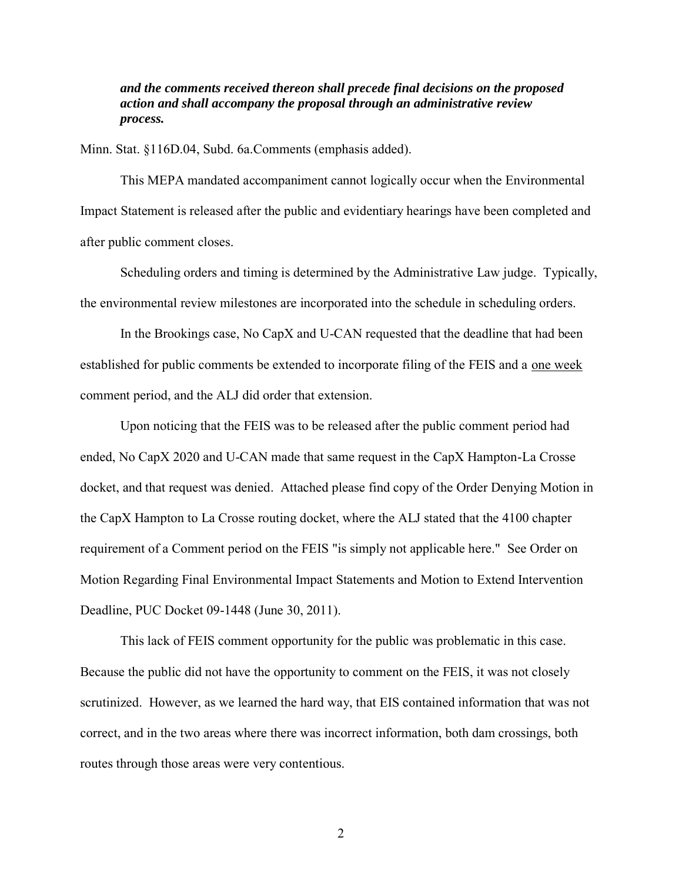*and the comments received thereon shall precede final decisions on the proposed action and shall accompany the proposal through an administrative review process.* 

Minn. Stat. §116D.04, Subd. 6a.Comments (emphasis added).

This MEPA mandated accompaniment cannot logically occur when the Environmental Impact Statement is released after the public and evidentiary hearings have been completed and after public comment closes.

Scheduling orders and timing is determined by the Administrative Law judge. Typically, the environmental review milestones are incorporated into the schedule in scheduling orders.

In the Brookings case, No CapX and U-CAN requested that the deadline that had been established for public comments be extended to incorporate filing of the FEIS and a one week comment period, and the ALJ did order that extension.

Upon noticing that the FEIS was to be released after the public comment period had ended, No CapX 2020 and U-CAN made that same request in the CapX Hampton-La Crosse docket, and that request was denied. Attached please find copy of the Order Denying Motion in the CapX Hampton to La Crosse routing docket, where the ALJ stated that the 4100 chapter requirement of a Comment period on the FEIS "is simply not applicable here." See Order on Motion Regarding Final Environmental Impact Statements and Motion to Extend Intervention Deadline, PUC Docket 09-1448 (June 30, 2011).

This lack of FEIS comment opportunity for the public was problematic in this case. Because the public did not have the opportunity to comment on the FEIS, it was not closely scrutinized. However, as we learned the hard way, that EIS contained information that was not correct, and in the two areas where there was incorrect information, both dam crossings, both routes through those areas were very contentious.

2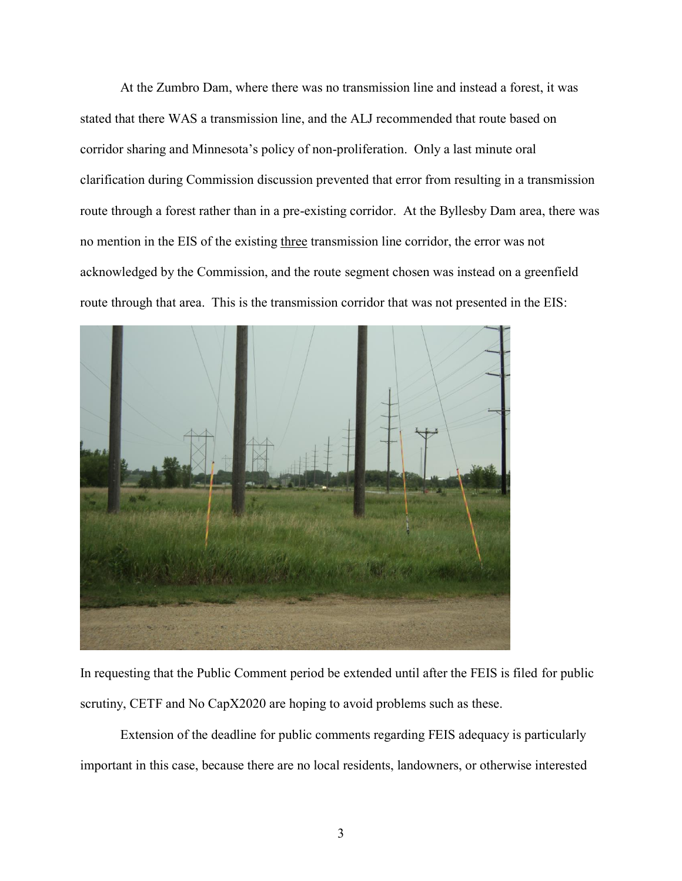At the Zumbro Dam, where there was no transmission line and instead a forest, it was stated that there WAS a transmission line, and the ALJ recommended that route based on corridor sharing and Minnesota's policy of non-proliferation. Only a last minute oral clarification during Commission discussion prevented that error from resulting in a transmission route through a forest rather than in a pre-existing corridor. At the Byllesby Dam area, there was no mention in the EIS of the existing three transmission line corridor, the error was not acknowledged by the Commission, and the route segment chosen was instead on a greenfield route through that area. This is the transmission corridor that was not presented in the EIS:



In requesting that the Public Comment period be extended until after the FEIS is filed for public scrutiny, CETF and No CapX2020 are hoping to avoid problems such as these.

 Extension of the deadline for public comments regarding FEIS adequacy is particularly important in this case, because there are no local residents, landowners, or otherwise interested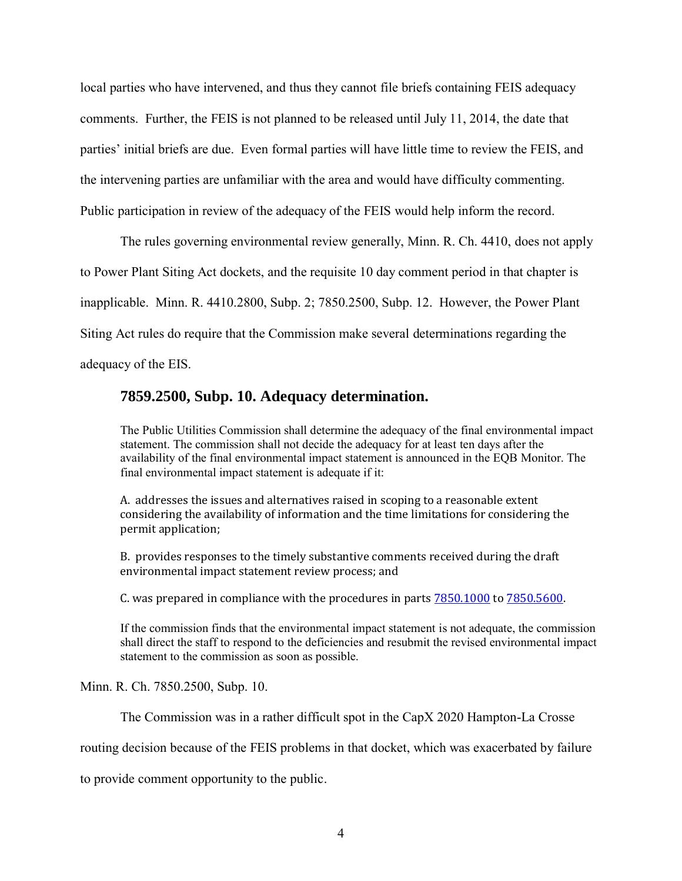local parties who have intervened, and thus they cannot file briefs containing FEIS adequacy comments. Further, the FEIS is not planned to be released until July 11, 2014, the date that parties' initial briefs are due. Even formal parties will have little time to review the FEIS, and the intervening parties are unfamiliar with the area and would have difficulty commenting. Public participation in review of the adequacy of the FEIS would help inform the record.

The rules governing environmental review generally, Minn. R. Ch. 4410, does not apply to Power Plant Siting Act dockets, and the requisite 10 day comment period in that chapter is inapplicable. Minn. R. 4410.2800, Subp. 2; 7850.2500, Subp. 12. However, the Power Plant Siting Act rules do require that the Commission make several determinations regarding the adequacy of the EIS.

# **7859.2500, Subp. 10. Adequacy determination.**

The Public Utilities Commission shall determine the adequacy of the final environmental impact statement. The commission shall not decide the adequacy for at least ten days after the availability of the final environmental impact statement is announced in the EQB Monitor. The final environmental impact statement is adequate if it:

A. addresses the issues and alternatives raised in scoping to a reasonable extent considering the availability of information and the time limitations for considering the permit application;

B. provides responses to the timely substantive comments received during the draft environmental impact statement review process; and

C. was prepared in compliance with the procedures in part[s 7850.1000 t](https://www.revisor.mn.gov/rules/?id=7850.1000)o [7850.5600.](https://www.revisor.mn.gov/rules/?id=7850.5600)

If the commission finds that the environmental impact statement is not adequate, the commission shall direct the staff to respond to the deficiencies and resubmit the revised environmental impact statement to the commission as soon as possible.

Minn. R. Ch. 7850.2500, Subp. 10.

The Commission was in a rather difficult spot in the CapX 2020 Hampton-La Crosse

routing decision because of the FEIS problems in that docket, which was exacerbated by failure

to provide comment opportunity to the public.